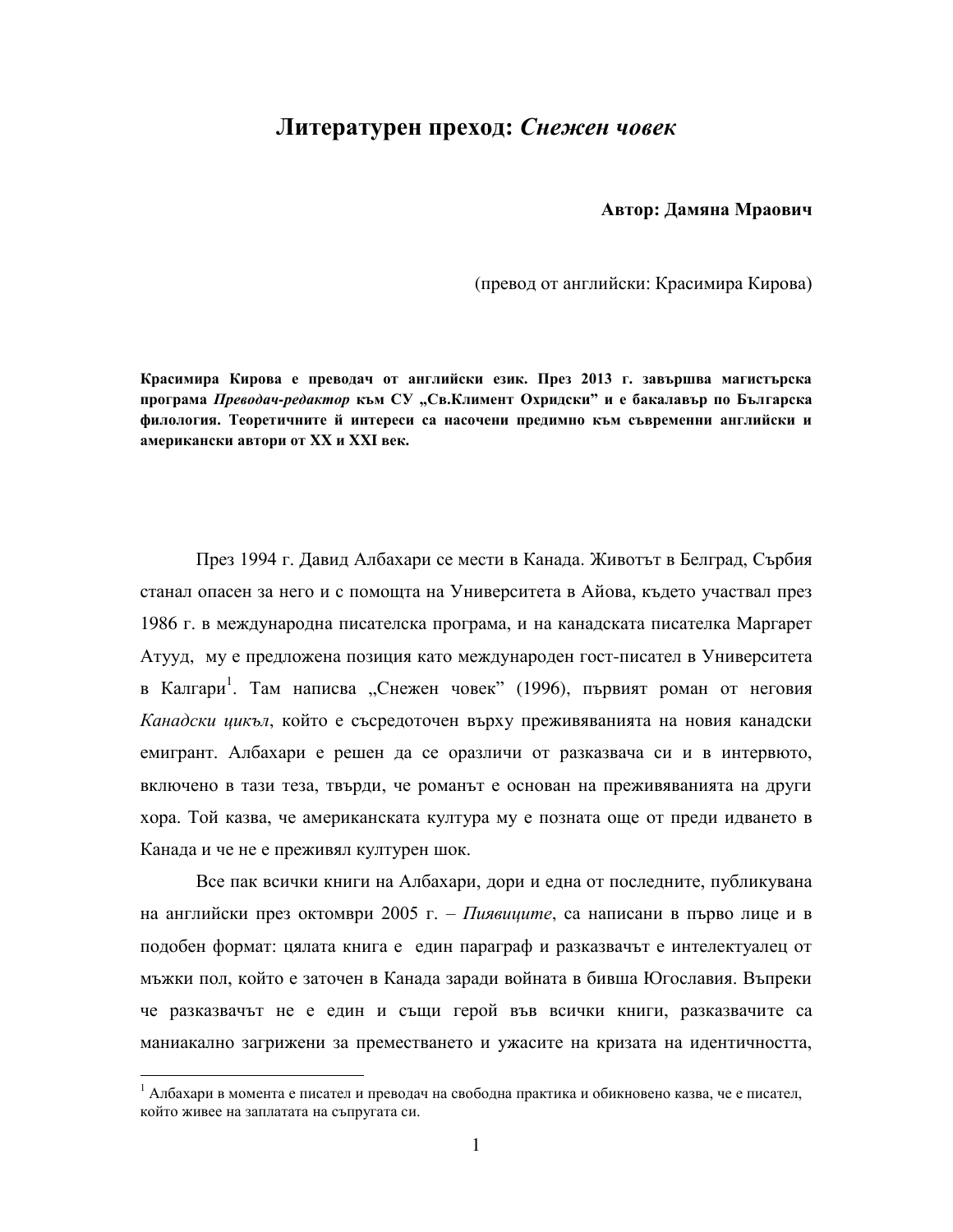## **Ʌɢɬɟɪɚɬɭɪɟɧ ɩɪɟɯɨɞ:** *Сɧɟɠɟɧ чɨвɟк*

Автор: Дамяна Мраович

(превод от английски: Красимира Кирова)

Красимира Кирова е преводач от английски език. През 2013 г. завършва магистърска програма *Преводач-редактор към СУ "Св.Климент Охридски*" и е бакалавър по Българска филология. Теоретичните й интереси са насочени предимно към съвременни английски и  $\mathbf{A} \times \mathbf{B} = \mathbf{A} \times \mathbf{B}$  *XX M XXI* **<b>Bex.** 

През 1994 г. Давид Албахари се мести в Канада. Животът в Белград, Сърбия станал опасен за него и с помощта на Университета в Айова, където участвал през 1986 г. в международна писателска програма, и на канадската писателка Маргарет Атууд, му е предложена позиция като международен гост-писател в Университета в Калгари<sup>1</sup>. Там написва "Снежен човек" (1996), първият роман от неговия Канадски иикъл, който е съсредоточен върху преживяванията на новия канадски емигрант. Албахари е решен да се оразличи от разказвача си и в интервюто, включено в тази теза, твърди, че романът е основан на преживяванията на други хора. Той казва, че американската култура му е позната още от преди идването в Канада и че не е преживял културен шок.

Все пак всички книги на Албахари, дори и една от последните, публикувана на английски през октомври 2005 г. – *Пиявшите*, са написани в първо лице и в подобен формат: цялата книга е един параграф и разказвачът е интелектуалец от мъжки пол, който е заточен в Канада заради войната в бивша Югославия. Въпреки че разказвачът не е един и същи герой във всички книги, разказвачите са маниакално загрижени за преместването и ужасите на кризата на идентичността,

 $^{-1}$  Албахари в момента е писател и преводач на свободна практика и обикновено казва, че е писател, който живее на заплатата на съпругата си.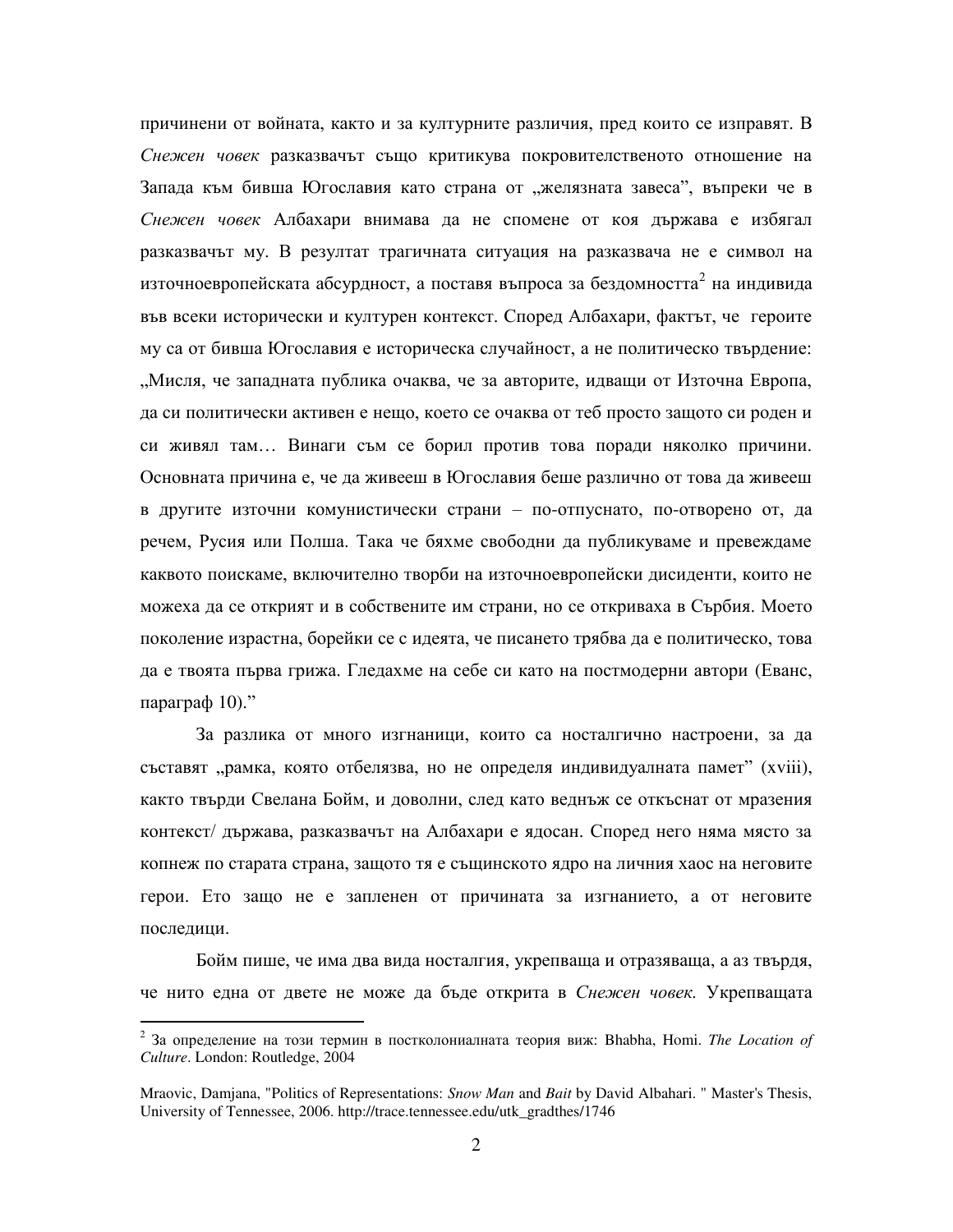причинени от войната, както и за културните различия, пред които се изправят. В Снежен човек разказвачът също критикува покровителственото отношение на Запада към бивша Югославия като страна от "желязната завеса", въпреки че в Снежен човек Албахари внимава да не спомене от коя държава е избягал разказвачът му. В резултат трагичната ситуация на разказвача не е символ на източноевропейската абсурдност, а поставя въпроса за бездомността<sup>2</sup> на индивида във всеки исторически и културен контекст. Според Албахари, фактът, че героите му са от бивша Югославия е историческа случайност, а не политическо твърдение: "Мисля, че западната публика очаква, че за авторите, идващи от Източна Европа, да си политически активен е нещо, което се очаква от теб просто защото си роден и си живял там... Винаги съм се борил против това поради няколко причини. Основната причина е, че да живееш в Югославия беше различно от това да живееш в другите източни комунистически страни – по-отпуснато, по-отворено от, да речем, Русия или Полша. Така че бяхме свободни да публикуваме и превеждаме каквото поискаме, включително творби на източноевропейски дисиденти, които не можеха да се открият и в собствените им страни, но се откриваха в Сърбия. Моето поколение израстна, борейки се с идеята, че писането трябва да е политическо, това да е твоята първа грижа. Гледахме на себе си като на постмодерни автори (Еванс, параграф  $10$ )."

За разлика от много изгнаници, които са носталгично настроени, за да съставят "рамка, която отбелязва, но не определя индивидуалната памет" (xviii), както твърди Свелана Бойм, и доволни, след като веднъж се откъснат от мразения контекст/ държава, разказвачът на Албахари е ядосан. Според него няма място за копнеж по старата страна, защото тя е същинското ядро на личния хаос на неговите герои. Ето защо не е запленен от причината за изгнанието, а от неговите последици.

Бойм пише, че има два вида носталгия, укрепваща и отразяваща, а аз твърдя, че нито една от двете не може да бъде открита в *Снежен човек*. Укрепващата

<sup>&</sup>lt;sup>2</sup> За определение на този термин в постколониалната теория виж: Bhabha, Homi. *The Location of Culture*. London: Routledge, 2004

Mraovic, Damjana, "Politics of Representations: *Snow Man* and *Bait* by David Albahari. " Master's Thesis, University of Tennessee, 2006. http://trace.tennessee.edu/utk\_gradthes/1746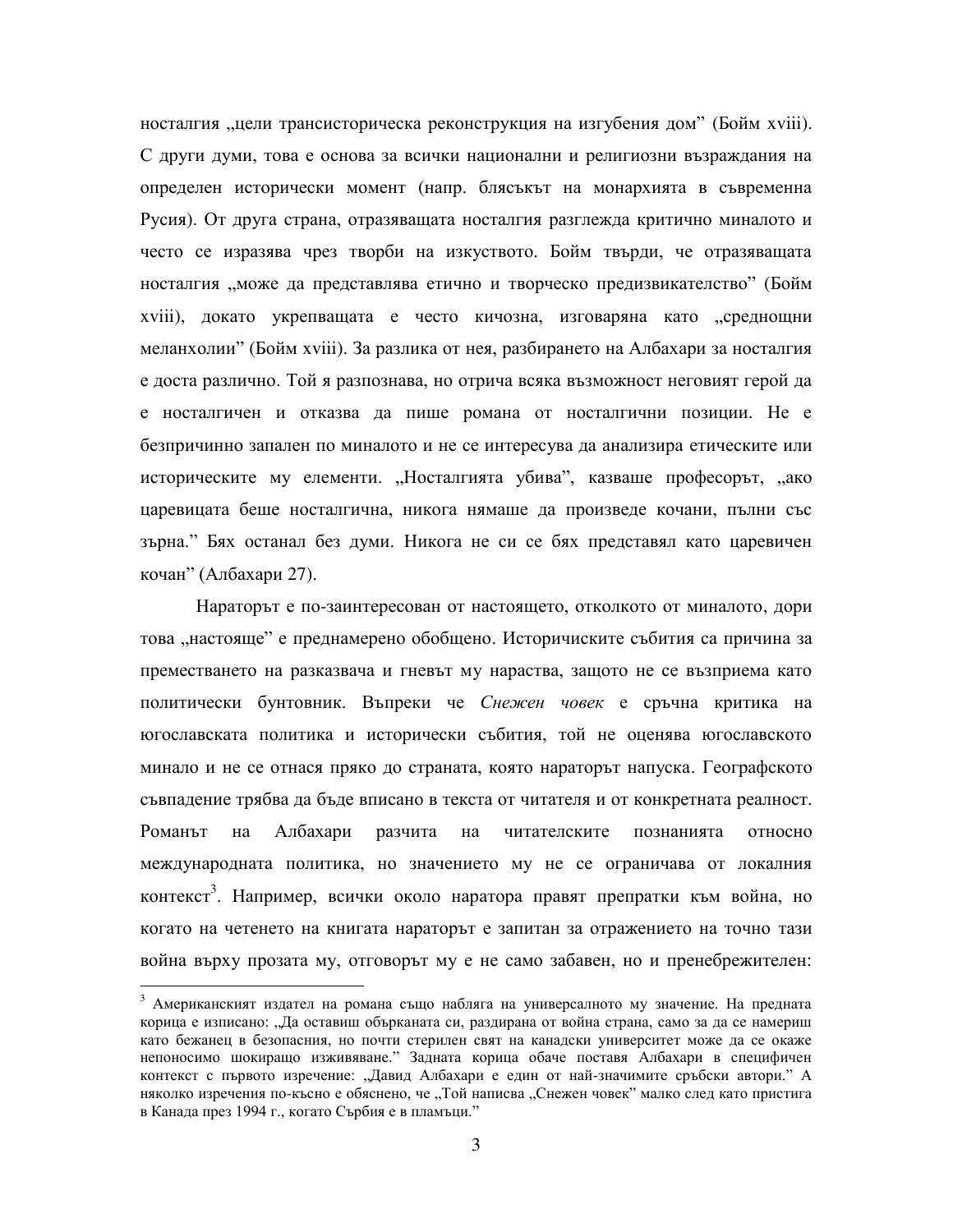носталгия "цели трансисторическа реконструкция на изгубения дом" (Бойм хviii). С други думи, това е основа за всички национални и религиозни възраждания на определен исторически момент (напр. блясъкът на монархията в съвременна Русия). От друга страна, отразяващата носталгия разглежда критично миналото и често се изразява чрез творби на изкуството. Бойм твърди, че отразяващата носталгия "може да представлява етично и творческо предизвикателство" (Бойм xviii), докато укрепващата е често кичозна, изговаряна като "среднощни меланхолии" (Бойм xviii). За разлика от нея, разбирането на Албахари за носталгия е доста различно. Той я разпознава, но отрича всяка възможност неговият герой да е носталгичен и отказва да пише романа от носталгични позиции. Не е безпричинно запален по миналото и не се интересува да анализира етическите или историческите му елементи. "Носталгията убива", казваше професорът, "ако царевицата беше носталгична, никога нямаше да произведе кочани, пълни със зърна." Бях останал без думи. Никога не си се бях представял като царевичен кочан" (Албахари 27).

Нараторът е по-заинтересован от настоящето, отколкото от миналото, дори това "настояще" е преднамерено обобщено. Историчиските събития са причина за преместването на разказвача и гневът му нараства, защото не се възприема като политически бунтовник. Въпреки че *Снежен човек* е сръчна критика на югославската политика и исторически събития, той не оценява югославското минало и не се отнася пряко до страната, която нараторът напуска. Географското съвпадение трябва да бъде вписано в текста от читателя и от конкретната реалност. Романът на Албахари разчита на читателските познанията относно международната политика, но значението му не се ограничава от локалния контекст<sup>3</sup>. Например, всички около наратора правят препратки към война, но когато на четенето на книгата нараторът е запитан за отражението на точно тази война върху прозата му, отговорът му е не само забавен, но и пренебрежителен:

<sup>&</sup>lt;sup>3</sup> Американският издател на романа също набляга на универсалното му значение. На предната корица е изписано: "Да оставиш обърканата си, раздирана от война страна, само за да се намериш като бежанец в безопасния, но почти стерилен свят на канадски университет може да се окаже непоносимо шокиращо изживяване." Задната корица обаче поставя Албахари в специфичен контекст с първото изречение: "Давид Албахари е един от най-значимите сръбски автори." А няколко изречения по-късно е обяснено, че "Той написва "Снежен човек" малко след като пристига в Канада през 1994 г., когато Сърбия е в пламъци."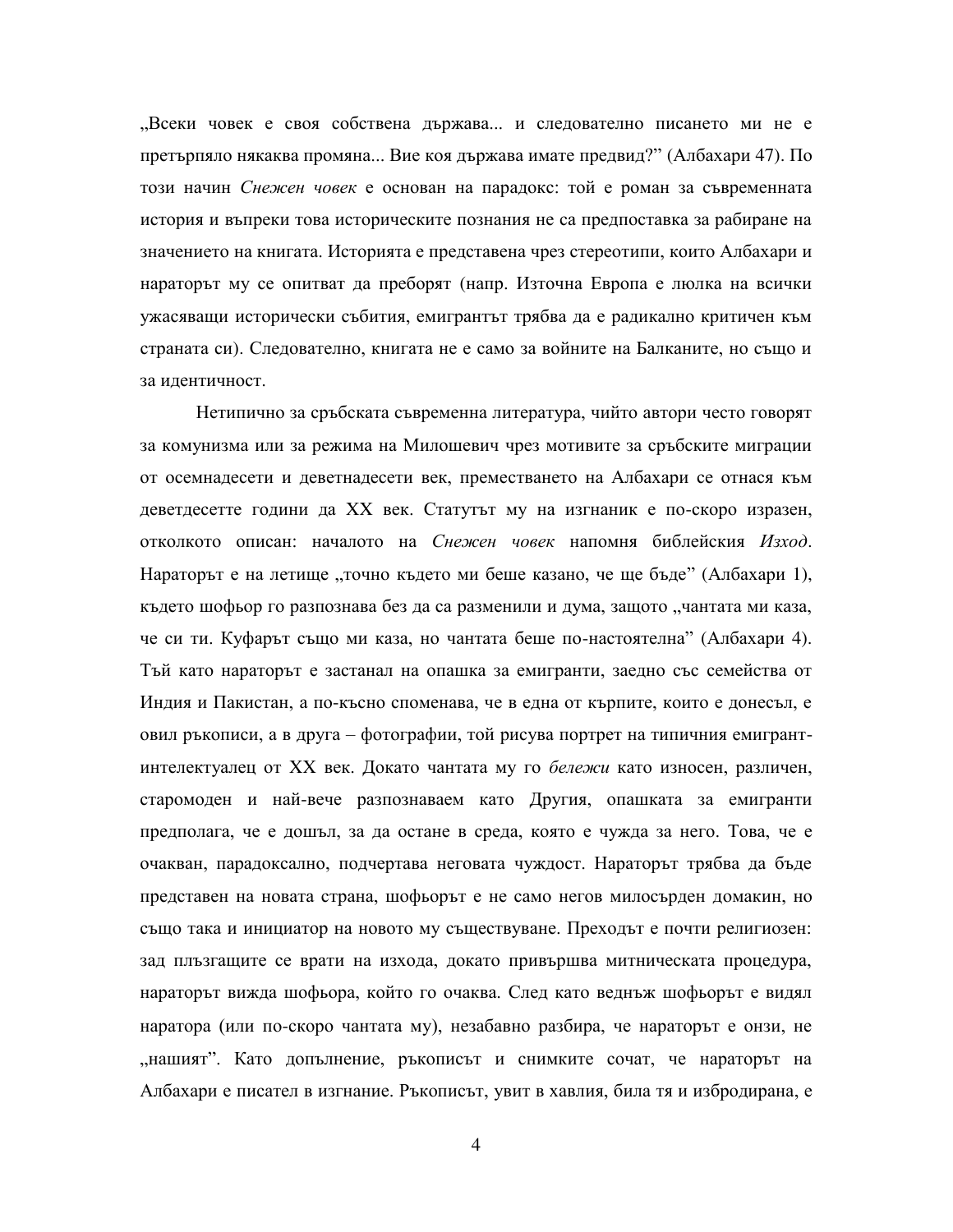"Всеки човек е своя собствена държава... и следователно писането ми не е претърпяло някаква промяна... Вие коя държава имате предвид?" (Албахари 47). По този начин Снежен човек е основан на парадокс: той е роман за съвременната история и въпреки това историческите познания не са предпоставка за рабиране на значението на книгата. Историята е представена чрез стереотипи, които Албахари и нараторът му се опитват да преборят (напр. Източна Европа е люлка на всички ужасяващи исторически събития, емигрантът трябва да е радикално критичен към страната си). Следователно, книгата не е само за войните на Балканите, но също и за идентичност.

Нетипично за сръбската съвременна литература, чийто автори често говорят за комунизма или за режима на Милошевич чрез мотивите за сръбските миграции от осемнадесети и деветнадесети век, преместването на Албахари се отнася към деветдесетте години да XX век. Статутът му на изгнаник е по-скоро изразен, отколкото описан: началото на Снежен човек напомня библейския Изход. Нараторът е на летище "точно където ми беше казано, че ще бъде" (Албахари 1), където шофьор го разпознава без да са разменили и дума, защото "чантата ми каза, че си ти. Куфарът също ми каза, но чантата беше по-настоятелна" (Албахари 4). Тъй като нараторът е застанал на опашка за емигранти, заедно със семейства от Индия и Пакистан, а по-късно споменава, че в една от кърпите, които е донесъл, е овил ръкописи, а в друга – фотографии, той рисува портрет на типичния емигрантинтелектуалец от XX век. Докато чантата му го *бележи* като износен, различен, старомоден и най-вече разпознаваем като Другия, опашката за емигранти предполага, че е дошъл, за да остане в среда, която е чужда за него. Това, че е очакван, парадоксално, подчертава неговата чуждост. Нараторът трябва да бъде представен на новата страна, шофьорът е не само негов милосърден домакин, но също така и инициатор на новото му съществуване. Преходът е почти религиозен: зад плъзгащите се врати на изхода, докато привършва митническата процедура, нараторът вижда шофьора, който го очаква. След като веднъж шофьорът е видял наратора (или по-скоро чантата му), незабавно разбира, че нараторът е онзи, не , нашият". Като допълнение, ръкописът и снимките сочат, че нараторът на Албахари е писател в изгнание. Ръкописът, увит в хавлия, била тя и избродирана, е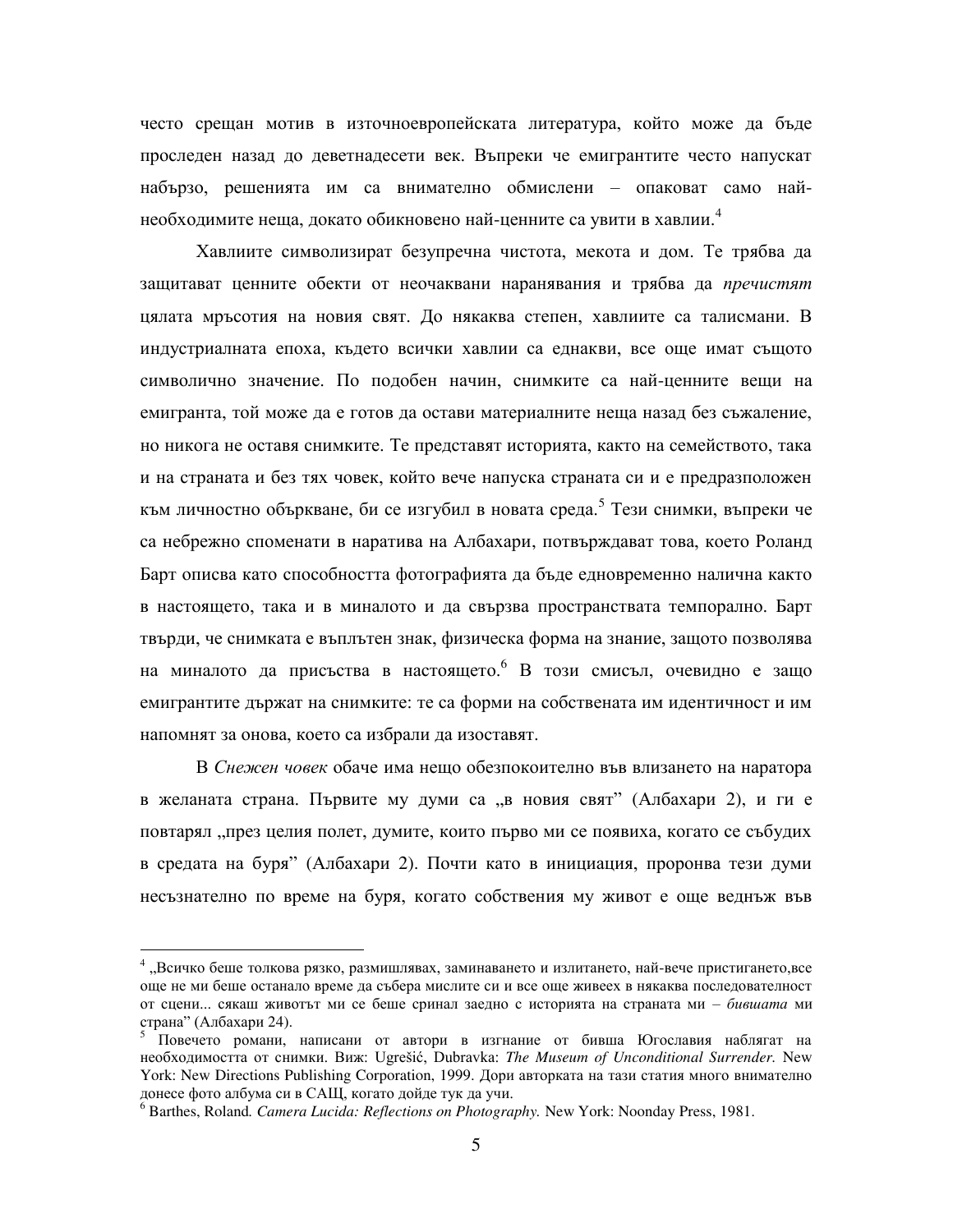често срещан мотив в източноевропейската литература, който може да бъде проследен назад до деветнадесети век. Въпреки че емигрантите често напускат набързо, решенията им са внимателно обмислени – опаковат само найнеобходимите неща, докато обикновено най-ценните са увити в хавлии.<sup>4</sup>

Хавлиите символизират безупречна чистота, мекота и дом. Те трябва да защитават ценните обекти от неочаквани наранявания и трябва да *пречистят* цялата мръсотия на новия свят. До някаква степен, хавлиите са талисмани. В индустриалната епоха, където всички хавлии са еднакви, все още имат същото символично значение. По подобен начин, снимките са най-ценните вещи на емигранта, той може да е готов да остави материалните неща назад без съжаление, но никога не оставя снимките. Те представят историята, както на семейството, така и на страната и без тях човек, който вече напуска страната си и е предразположен към личностно объркване, би се изгубил в новата среда.<sup>5</sup> Тези снимки, въпреки че са небрежно споменати в наратива на Албахари, потвърждават това, което Роланд Барт описва като способността фотографията да бъде едновременно налична както в настоящето, така и в миналото и да свързва пространствата темпорално. Барт твърди, че снимката е въплътен знак, физическа форма на знание, защото позволява на миналото да присъства в настоящето. В този смисъл, очевидно е защо емигрантите държат на снимките: те са форми на собствената им идентичност и им напомнят за онова, което са избрали да изоставят.

В *Снежен човек* обаче има нещо обезпокоително във влизането на наратора в желаната страна. Първите му думи са "в новия свят" (Албахари 2), и ги е повтарял "през целия полет, думите, които първо ми се появиха, когато се събудих в средата на буря" (Албахари 2). Почти като в инициация, проронва тези думи несъзнателно по време на буря, когато собствения му живот е още веднъж във

<sup>&</sup>lt;sup>4</sup> "Всичко беше толкова рязко, размишлявах, заминаването и излитането, най-вече пристигането,все още не ми беше останало време да събера мислите си и все още живеех в някаква последователност от сцени... сякаш животът ми се беше сринал заедно с историята на страната ми – бившата ми страна" (Албахари 24).

Повечето романи, написани от автори в изгнание от бивша Югославия наблягат на необходимостта от снимки. Виж: Ugrešić, Dubravka: The Museum of Unconditional Surrender. New York: New Directions Publishing Corporation, 1999. Дори авторката на тази статия много внимателно донесе фото албума си в САЩ, когато дойде тук да учи.

<sup>6</sup> Barthes, Roland*. Camera Lucida: Reflections on Photography.* New York: Noonday Press, 1981.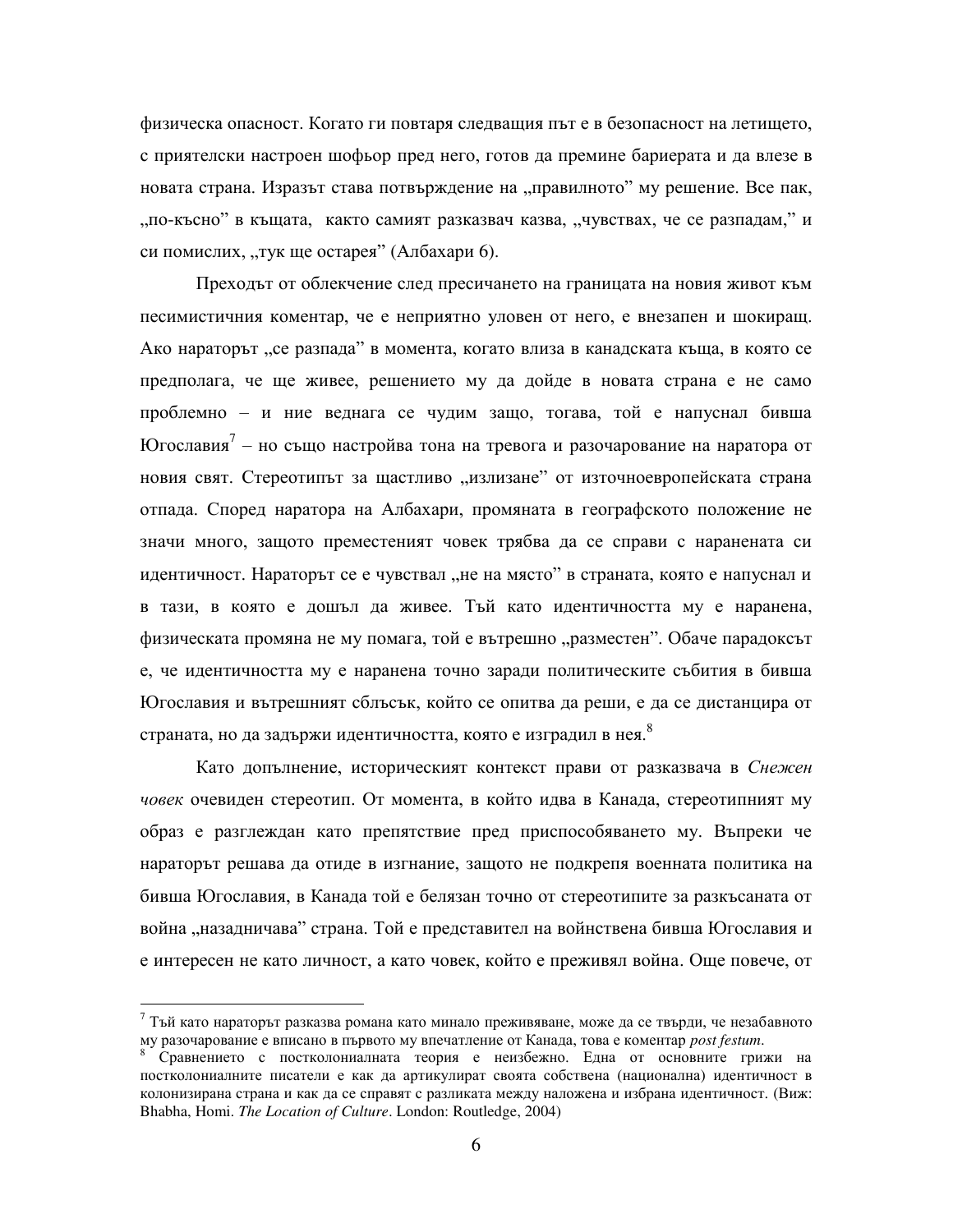физическа опасност. Когато ги повтаря следващия път е в безопасност на летището, с приятелски настроен шофьор пред него, готов да премине бариерата и да влезе в новата страна. Изразът става потвърждение на "правилното" му решение. Все пак, "по-късно" в къщата, както самият разказвач казва, "чувствах, че се разпадам," и си помислих, "тук ще остарея" (Албахари 6).

Преходът от облекчение след пресичането на границата на новия живот към песимистичния коментар, че е неприятно уловен от него, е внезапен и шокиращ. Ако нараторът "се разпада" в момента, когато влиза в канадската къща, в която се предполага, че ще живее, решението му да дойде в новата страна е не само проблемно – и ние веднага се чудим защо, тогава, той е напуснал бивша Югославия<sup>7</sup> – но също настройва тона на тревога и разочарование на наратора от новия свят. Стереотипът за щастливо "излизане" от източноевропейската страна отпада. Според наратора на Албахари, промяната в географското положение не значи много, защото преместеният човек трябва да се справи с наранената си идентичност. Нараторът се е чувствал "не на място" в страната, която е напуснал и в тази, в която е дошъл да живее. Тъй като идентичността му е наранена, физическата промяна не му помага, той е вътрешно "разместен". Обаче парадоксът е, че идентичността му е наранена точно заради политическите събития в бивша Югославия и вътрешният сблъсък, който се опитва да реши, е да се дистанцира от страната, но да задържи идентичността, която е изградил в нея.<sup>8</sup>

Като допълнение, историческият контекст прави от разказвача в *Снежен човек* очевиден стереотип. От момента, в който идва в Канада, стереотипният му образ е разглеждан като препятствие пред приспособяването му. Въпреки че нараторът решава да отиде в изгнание, защото не подкрепя военната политика на бивша Югославия, в Канада той е белязан точно от стереотипите за разкъсаната от война "назадничава" страна. Той е представител на войнствена бивша Югославия и е интересен не като личност, а като човек, който е преживял война. Още повече, от

 $7$  Тъй като нараторът разказва романа като минало преживяване, може да се твърди, че незабавното му разочарование е вписано в първото му впечатление от Канада, това е коментар *post festum*.

Сравнението с постколониалната теория е неизбежно. Една от основните грижи на постколониалните писатели е как да артикулират своята собствена (национална) идентичност в колонизирана страна и как да се справят с разликата между наложена и избрана идентичност. (Виж: Bhabha, Homi. *The Location of Culture*. London: Routledge, 2004)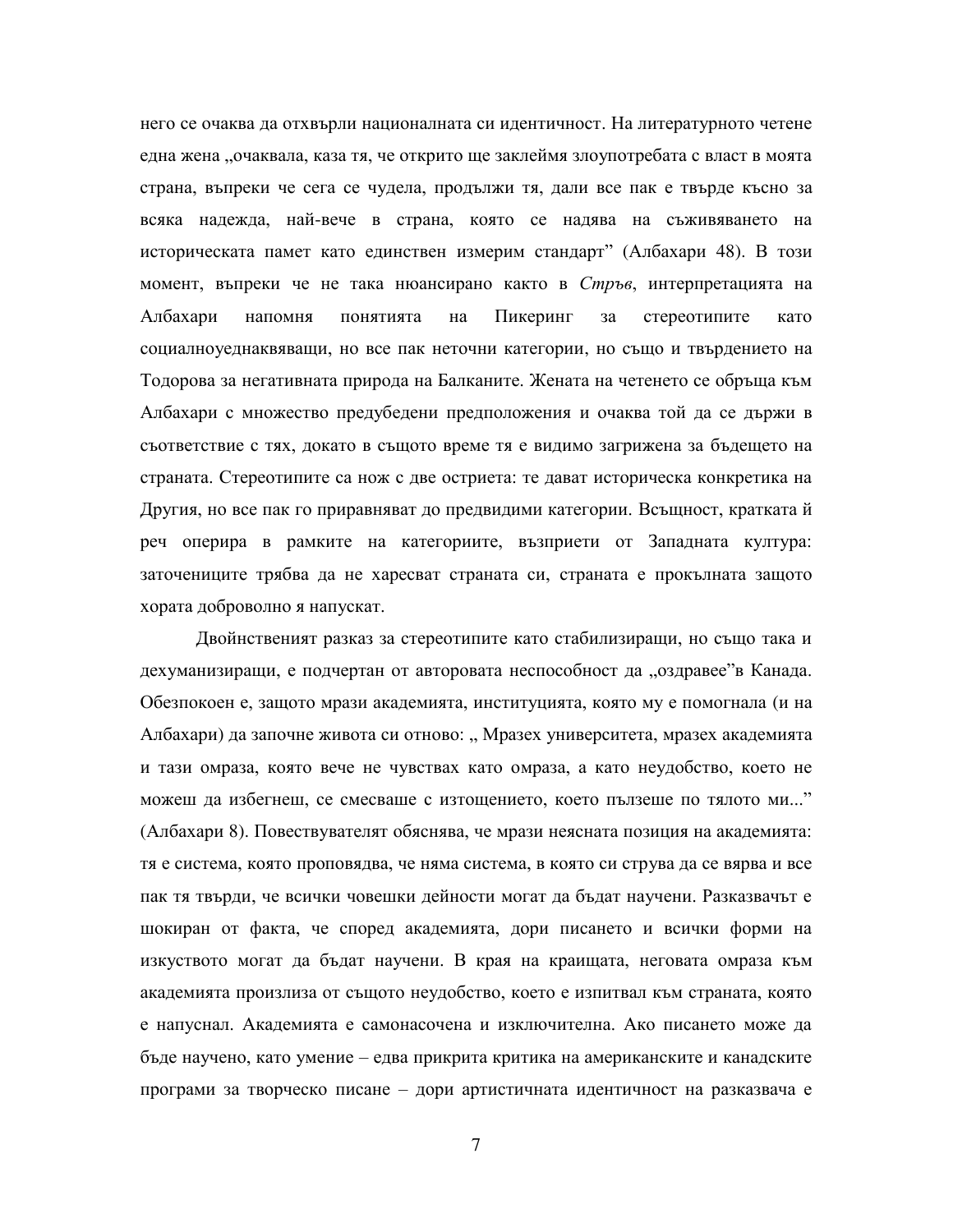него се очаква да отхвърли националната си идентичност. На литературното четене една жена "очаквала, каза тя, че открито ще заклеймя злоупотребата с власт в моята страна, въпреки че сега се чудела, продължи тя, дали все пак е твърде късно за всяка надежда, най-вече в страна, която се надява на съживяването на историческата памет като единствен измерим стандарт" (Албахари 48). В този момент, въпреки че не така нюансирано както в Стръв, интерпретацията на Албахари напомня понятията на Пикеринг за стереотипите като социалноуеднаквяващи, но все пак неточни категории, но също и твърдението на Тодорова за негативната природа на Балканите. Жената на четенето се обръща към Албахари с множество предубедени предположения и очаква той да се държи в съответствие с тях, докато в същото време тя е видимо загрижена за бъдещето на страната. Стереотипите са нож с две остриета: те дават историческа конкретика на Другия, но все пак го приравняват до предвидими категории. Всъщност, кратката й реч оперира в рамките на категориите, възприети от Западната култура: заточениците трябва да не харесват страната си, страната е прокълната защото хората доброволно я напускат.

Двойнственият разказ за стереотипите като стабилизиращи, но също така и дехуманизиращи, е подчертан от авторовата неспособност да "оздравее"в Канада. Обезпокоен е, защото мрази академията, институцията, която му е помогнала (и на Албахари) да започне живота си отново: "Мразех университета, мразех академията и тази омраза, която вече не чувствах като омраза, а като неудобство, което не можеш да избегнеш, се смесваше с изтощението, което пълзеше по тялото ми..." (Албахари 8). Повествувателят обяснява, че мрази неясната позиция на академията: тя е система, която проповядва, че няма система, в която си струва да се вярва и все пак тя твърди, че всички човешки дейности могат да бъдат научени. Разказвачът е шокиран от факта, че според академията, дори писането и всички форми на изкуството могат да бъдат научени. В края на краищата, неговата омраза към академията произлиза от същото неудобство, което е изпитвал към страната, която е напуснал. Академията е самонасочена и изключителна. Ако писането може да бъде научено, като умение – едва прикрита критика на американските и канадските програми за творческо писане – дори артистичната идентичност на разказвача е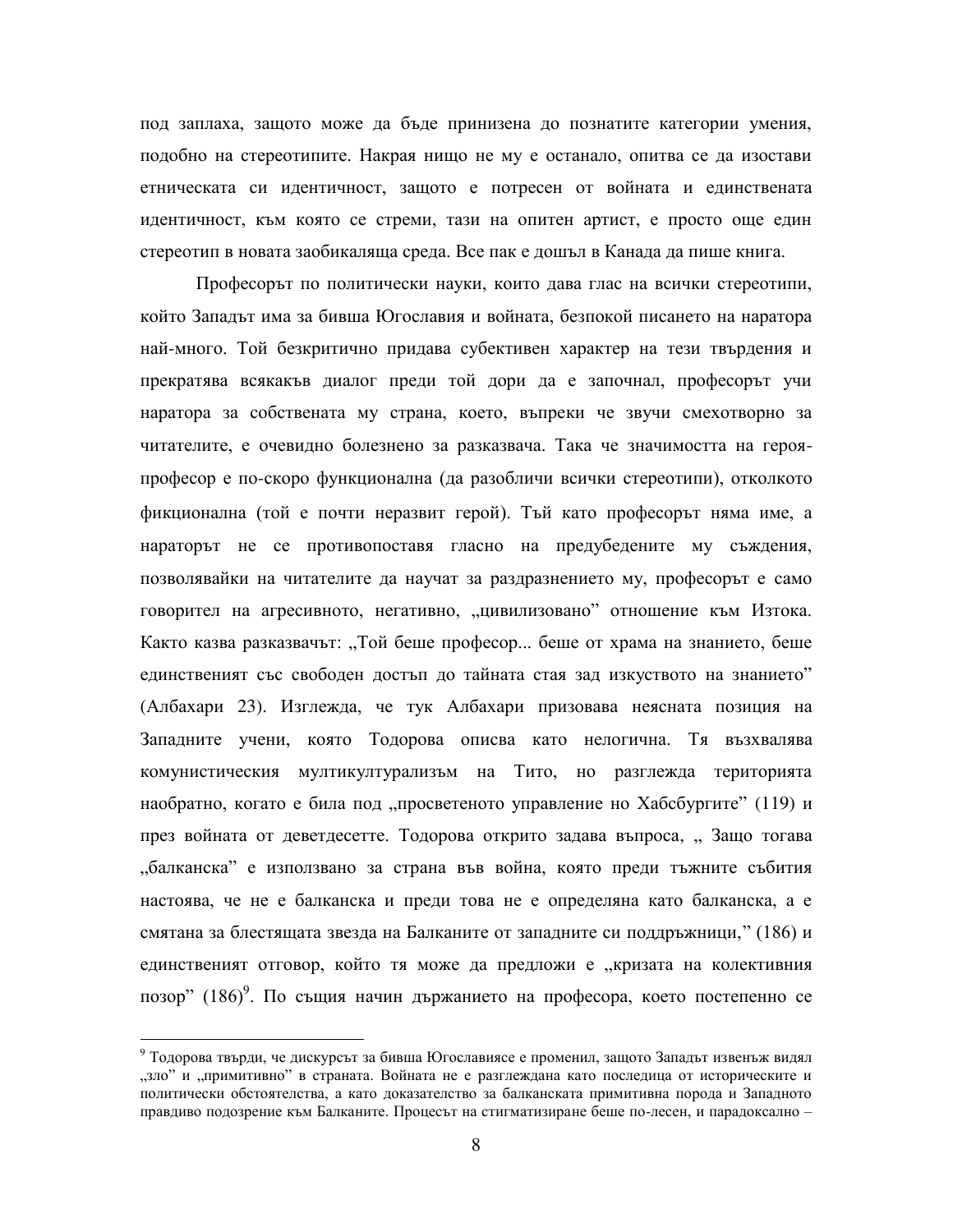под заплаха, защото може да бъде принизена до познатите категории умения, подобно на стереотипите. Накрая нищо не му е останало, опитва се да изостави етническата си идентичност, защото е потресен от войната и единствената идентичност, към която се стреми, тази на опитен артист, е просто още един стереотип в новата заобикаляща среда. Все пак е дошъл в Канада да пише книга.

Професорът по политически науки, които дава глас на всички стереотипи, който Западът има за бивша Югославия и войната, безпокой писането на наратора най-много. Той безкритично придава субективен характер на тези твърдения и прекратява всякакъв диалог преди той дори да е започнал, професорът учи наратора за собствената му страна, което, въпреки че звучи смехотворно за читателите, е очевидно болезнено за разказвача. Така че значимостта на герояпрофесор е по-скоро функционална (да разобличи всички стереотипи), отколкото фикционална (той е почти неразвит герой). Тъй като професорът няма име, а нараторът не се противопоставя гласно на предубедените му съждения, позволявайки на читателите да научат за раздразнението му, професорът е само говорител на агресивното, негативно, "цивилизовано" отношение към Изтока. Както казва разказвачът: "Той беше професор... беше от храма на знанието, беше единственият със свободен достъп до тайната стая зад изкуството на знанието" (Албахари 23). Изглежда, че тук Албахари призовава неясната позиция на Западните учени, която Тодорова описва като нелогична. Тя възхвалява комунистическия мултикултурализъм на Тито, но разглежда територията наобратно, когато е била под "просветеното управление но Хабсбургите" (119) и през войната от деветдесетте. Тодорова открито задава въпроса, "Защо тогава дбалканска" е използвано за страна във война, която преди тъжните събития настоява, че не е балканска и преди това не е определяна като балканска, а е смятана за блестящата звезда на Балканите от западните си поддръжници," (186) и единственият отговор, който тя може да предложи е "кризата на колективния позор" (186)<sup>9</sup>. По същия начин държанието на професора, което постепенно се

 $^9$  Тодорова твърди, че дискурсът за бивша Югославиясе е променил, защото Западът извенъж видял "зло" и "примитивно" в страната. Войната не е разглеждана като последица от историческите и политически обстоятелства, а като доказателство за балканската примитивна порода и Западното правдиво подозрение към Балканите. Процесът на стигматизиране беше по-лесен, и парадоксално –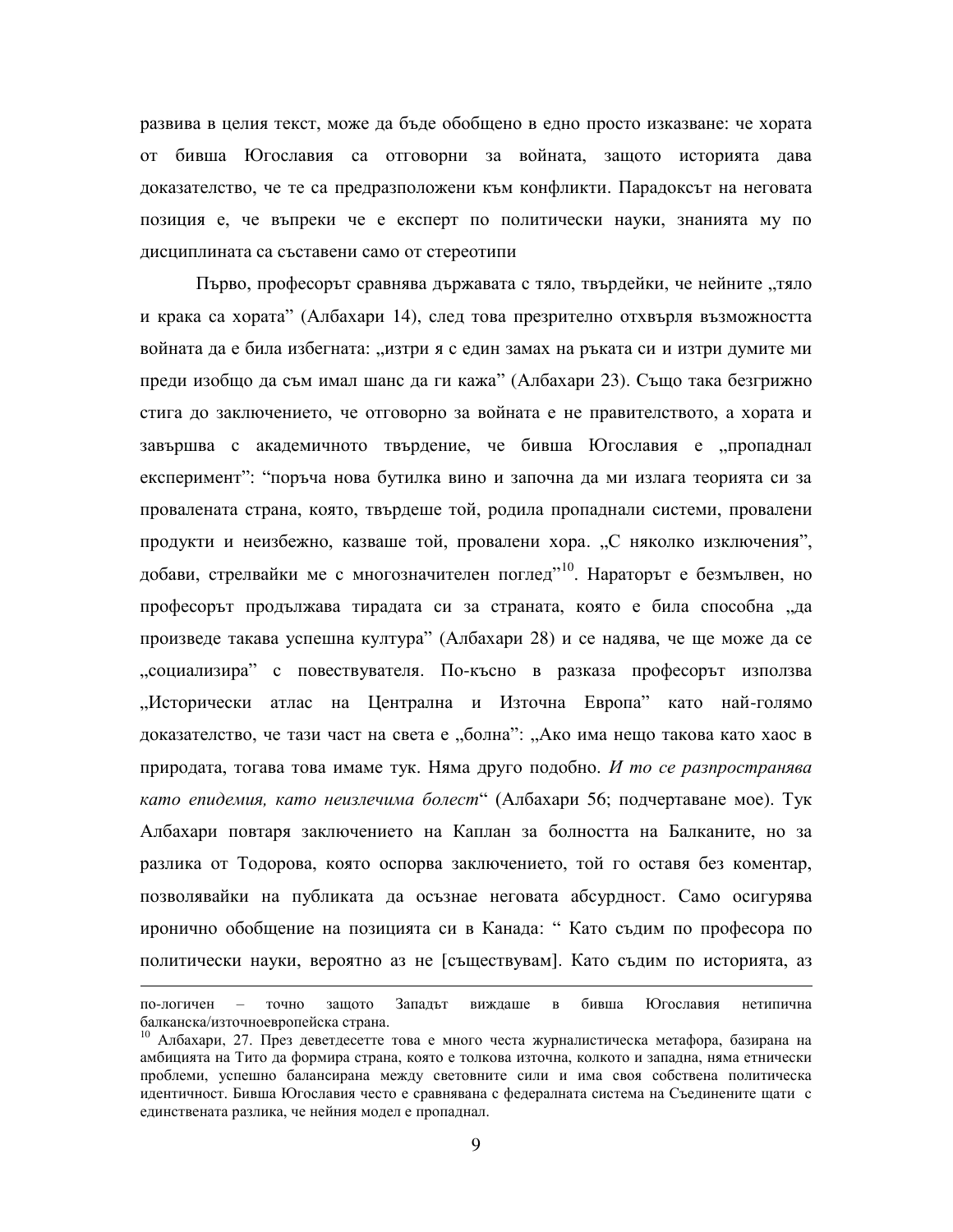развива в целия текст, може да бъде обобщено в едно просто изказване: че хората от бивша Югославия са отговорни за войната, защото историята дава доказателство, че те са предразположени към конфликти. Парадоксът на неговата позиция е, че въпреки че е експерт по политически науки, знанията му по дисциплината са съставени само от стереотипи

Първо, професорът сравнява държавата с тяло, твърдейки, че нейните "тяло и крака са хората" (Албахари 14), след това презрително отхвърля възможността войната да е била избегната: "изтри я с един замах на ръката си и изтри думите ми преди изобщо да съм имал шанс да ги кажа" (Албахари 23). Също така безгрижно стига до заключението, че отговорно за войната е не правителството, а хората и завършва с академичното твърдение, че бивша Югославия е "пропаднал експеримент": "поръча нова бутилка вино и започна да ми излага теорията си за провалената страна, която, твърдеше той, родила пропаднали системи, провалени продукти и неизбежно, казваше той, провалени хора. "С няколко изключения", добави, стрелвайки ме с многозначителен поглед<sup>"10</sup>. Нараторът е безмълвен, но професорът продължава тирадата си за страната, която е била способна "да произведе такава успешна култура" (Албахари 28) и се надява, че ще може да се деоциализира" с повествувателя. По-късно в разказа професорът използва "Исторически атлас на Централна и Източна Европа" като най-голямо доказателство, че тази част на света е "болна": "Ако има нещо такова като хаос в природата, тогава това имаме тук. Няма друго подобно. *И то се разпространява като епидемия, като неизлечима болест*" (Албахари 56; подчертаване мое). Тук Албахари повтаря заключението на Каплан за болността на Балканите, но за разлика от Тодорова, която оспорва заключението, той го оставя без коментар, позволявайки на публиката да осъзнае неговата абсурдност. Само осигурява иронично обобщение на позицията си в Канада: "Като съдим по професора по политически науки, вероятно аз не [съществувам]. Като съдим по историята, аз

по-логичен – точно защото Западът виждаше в бивша Югославия нетипична балканска/източноевропейска страна.

<sup>&</sup>lt;sup>10</sup> Албахари, 27. През деветдесетте това е много честа журналистическа метафора, базирана на амбицията на Тито да формира страна, която е толкова източна, колкото и западна, няма етнически проблеми, успешно балансирана между световните сили и има своя собствена политическа идентичност. Бивша Югославия често е сравнявана с федералната система на Съединените щати с единствената разлика, че нейния модел е пропаднал.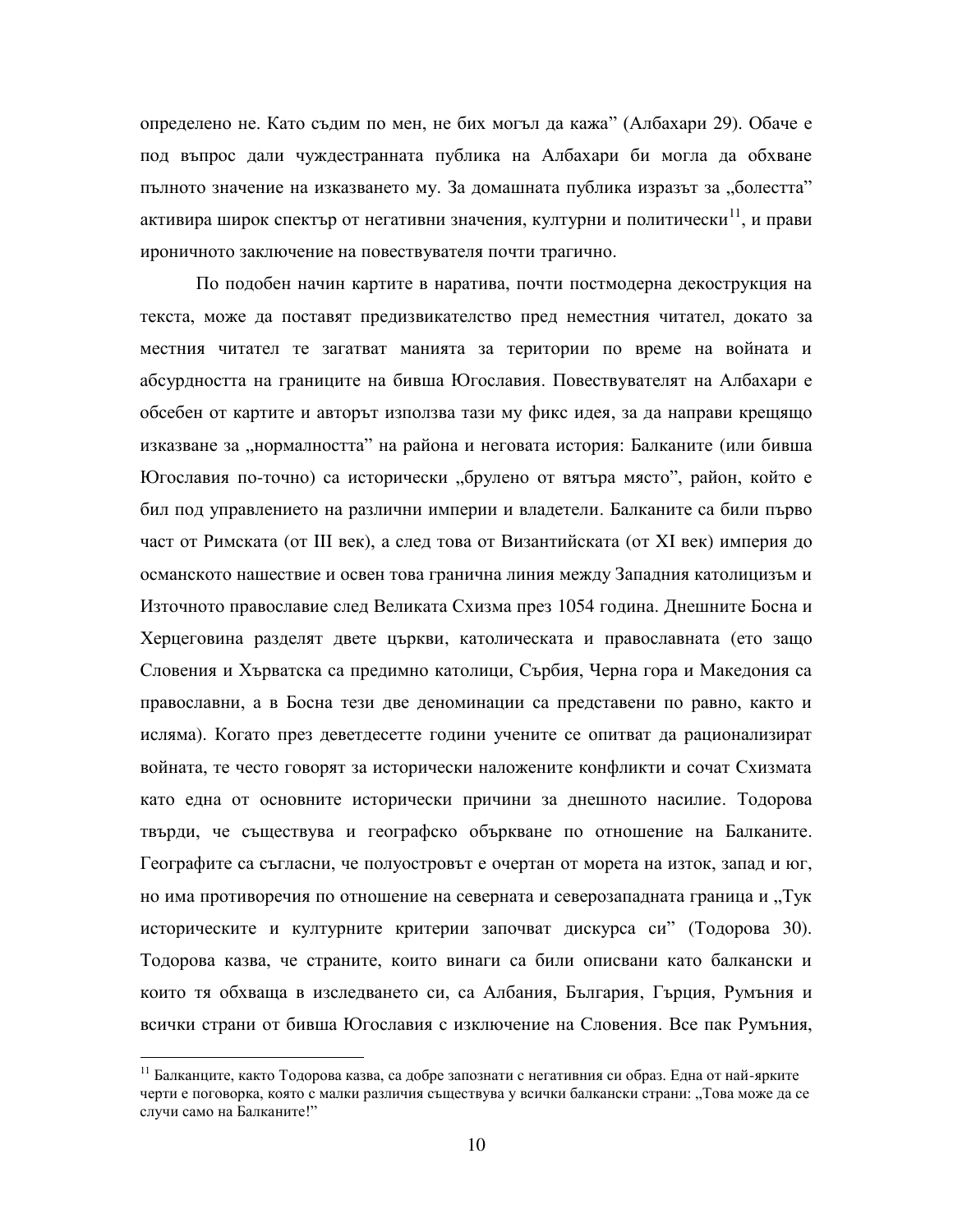определено не. Като съдим по мен, не бих могъл да кажа" (Албахари 29). Обаче е под въпрос дали чуждестранната публика на Албахари би могла да обхване пълното значение на изказването му. За домашната публика изразът за "болестта" активира широк спектър от негативни значения, културни и политически<sup>11</sup>, и прави ироничното заключение на повествувателя почти трагично.

По подобен начин картите в наратива, почти постмодерна декострукция на текста, може да поставят предизвикателство пред неместния читател, докато за местния читател те загатват манията за територии по време на войната и абсурдността на границите на бивша Югославия. Повествувателят на Албахари е обсебен от картите и авторът използва тази му фикс идея, за да направи крещящо изказване за "нормалността" на района и неговата история: Балканите (или бивша Югославия по-точно) са исторически "брулено от вятъра място", район, който е бил под управлението на различни империи и владетели. Балканите са били първо част от Римската (от III век), а след това от Византийската (от XI век) империя до османското нашествие и освен това гранична линия между Западния католицизъм и Източното православие след Великата Схизма през 1054 година. Днешните Босна и Херцеговина разделят двете църкви, католическата и православната (ето защо Словения и Хърватска са предимно католици, Сърбия, Черна гора и Македония са православни, а в Босна тези две деноминации са представени по равно, както и исляма). Когато през деветдесетте години учените се опитват да рационализират войната, те често говорят за исторически наложените конфликти и сочат Схизмата като една от основните исторически причини за днешното насилие. Тодорова твърди, че съществува и географско объркване по отношение на Балканите. Географите са съгласни, че полуостровът е очертан от морета на изток, запад и юг, но има противоречия по отношение на северната и северозападната граница и "Тук историческите и културните критерии започват дискурса си" (Тодорова 30). Тодорова казва, че страните, които винаги са били описвани като балкански и които тя обхваща в изследването си, са Албания, България, Гърция, Румъния и всички страни от бивша Югославия с изключение на Словения. Все пак Румъния,

 $^{11}$  Балканците, както Тодорова казва, са добре запознати с негативния си образ. Една от най-ярките черти е поговорка, която с малки различия съществува у всички балкански страни: "Това може да се случи само на Балканите!"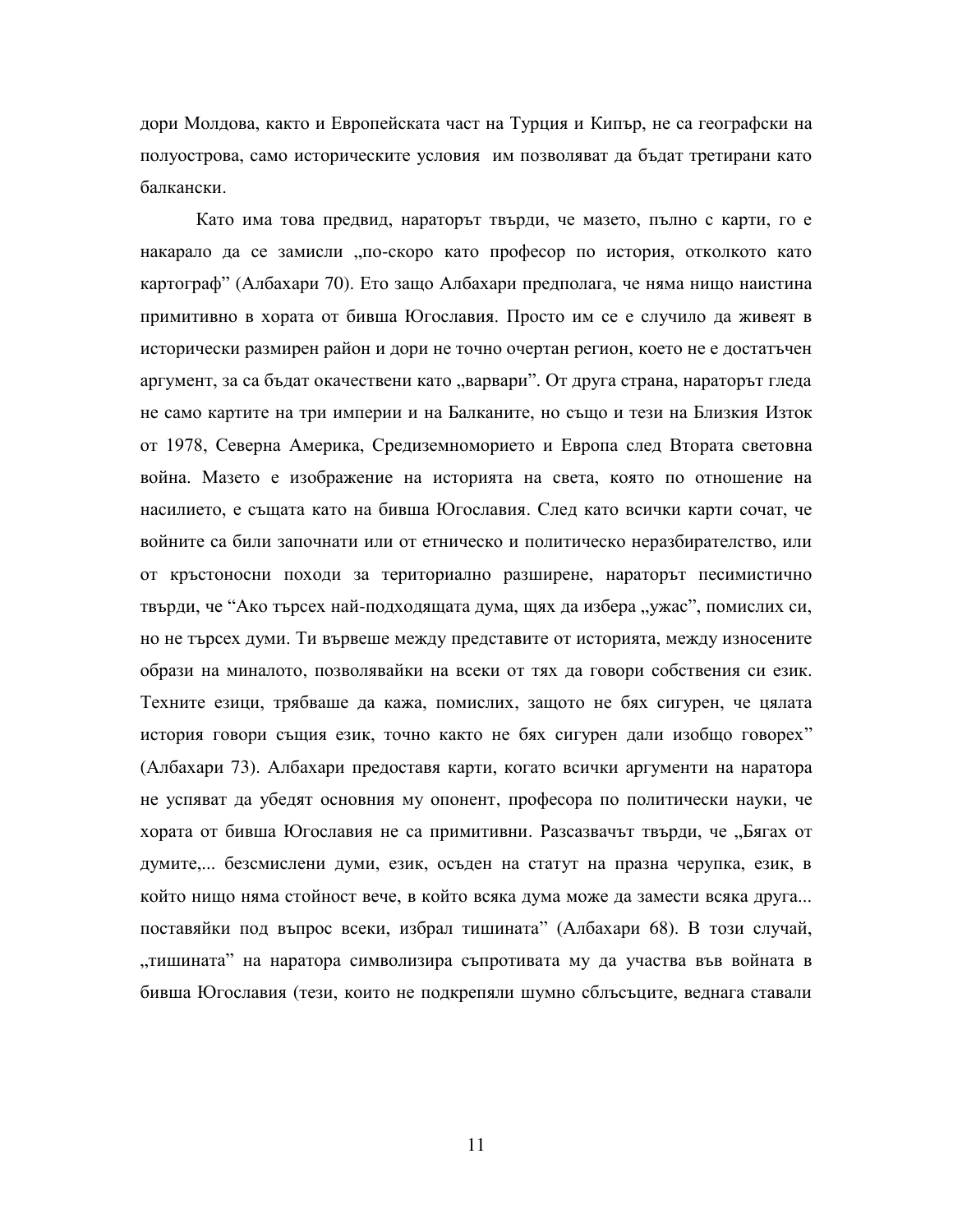дори Молдова, както и Европейската част на Турция и Кипър, не са географски на полуострова, само историческите условия им позволяват да бъдат третирани като балкански.

Като има това предвид, нараторът твърди, че мазето, пълно с карти, го е накарало да се замисли "по-скоро като професор по история, отколкото като картограф" (Албахари 70). Ето защо Албахари предполага, че няма нищо наистина примитивно в хората от бивша Югославия. Просто им се е случило да живеят в исторически размирен район и дори не точно очертан регион, което не е достатъчен аргумент, за са бъдат окачествени като "варвари". От друга страна, нараторът гледа не само картите на три империи и на Балканите, но също и тези на Близкия Изток от 1978, Северна Америка, Средиземноморието и Европа след Втората световна война. Мазето е изображение на историята на света, която по отношение на насилието, е същата като на бивша Югославия. След като всички карти сочат, че войните са били започнати или от етническо и политическо неразбирателство, или от кръстоносни походи за териториално разширене, нараторът песимистично твърди, че "Ако търсех най-подходящата дума, щях да избера "ужас", помислих си, но не търсех думи. Ти вървеше между представите от историята, между износените образи на миналото, позволявайки на всеки от тях да говори собствения си език. Техните езици, трябваше да кажа, помислих, защото не бях сигурен, че цялата история говори същия език, точно както не бях сигурен дали изобщо говорех" (Албахари 73). Албахари предоставя карти, когато всички аргументи на наратора не успяват да убедят основния му опонент, професора по политически науки, че хората от бивша Югославия не са примитивни. Разсазвачът твърди, че "Бягах от думите,... безсмислени думи, език, осъден на статут на празна черупка, език, в който нищо няма стойност вече, в който всяка дума може да замести всяка друга... поставяйки под въпрос всеки, избрал тишината" (Албахари 68). В този случай, "тишината" на наратора символизира съпротивата му да участва във войната в бивша Югославия (тези, които не подкрепяли шумно сблъсъците, веднага ставали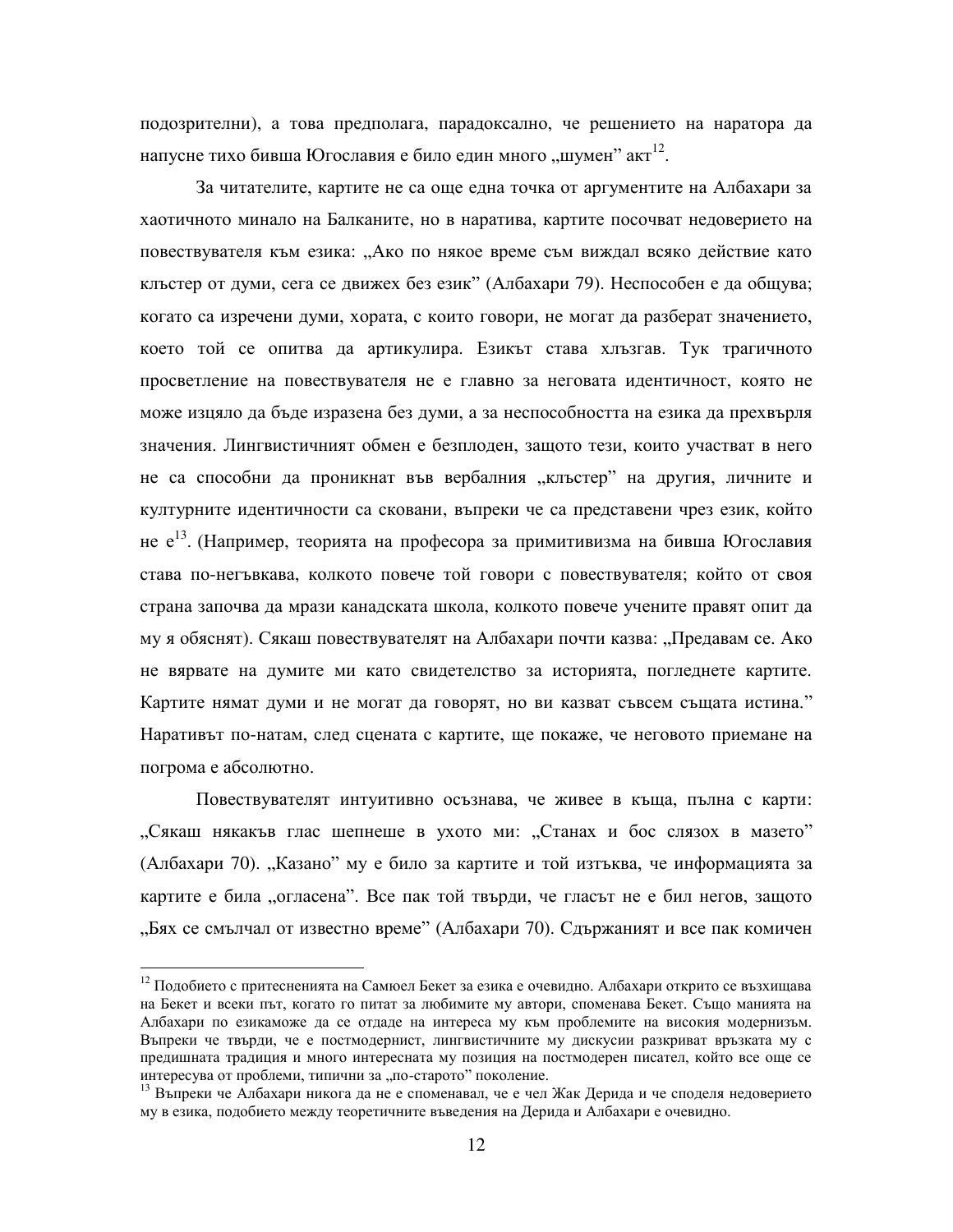подозрителни), а това предполага, парадоксално, че решението на наратора да напусне тихо бивша Югославия е било един много "шумен" акт<sup>12</sup>.

За читателите, картите не са още една точка от аргументите на Албахари за хаотичното минало на Балканите, но в наратива, картите посочват недоверието на повествувателя към езика: "Ако по някое време съм виждал всяко действие като кльстер от думи, сега се движех без език" (Албахари 79). Неспособен е да общува; когато са изречени думи, хората, с които говори, не могат да разберат значението, което той се опитва да артикулира. Езикът става хлъзгав. Тук трагичното просветление на повествувателя не е главно за неговата идентичност, която не може изцяло да бъде изразена без думи, а за неспособността на езика да прехвърля значения. Лингвистичният обмен е безплоден, защото тези, които участват в него не са способни да проникнат във вербалния "клъстер" на другия, личните и културните идентичности са сковани, въпреки че са представени чрез език, който не е<sup>13</sup>. (Например, теорията на професора за примитивизма на бивша Югославия става по-негъвкава, колкото повече той говори с повествувателя; който от своя страна започва да мрази канадската школа, колкото повече учените правят опит да му я обяснят). Сякаш повествувателят на Албахари почти казва: "Предавам се. Ако не вярвате на думите ми като свидетелство за историята, погледнете картите. Картите нямат думи и не могат да говорят, но ви казват съвсем същата истина." Наративът по-натам, след сцената с картите, ще покаже, че неговото приемане на погрома е абсолютно.

Повествувателят интуитивно осъзнава, че живее в къща, пълна с карти: "Сякаш някакъв глас шепнеше в ухото ми: "Станах и бос слязох в мазето" (Албахари 70). "Казано" му е било за картите и той изтъква, че информацията за картите е била "огласена". Все пак той твърди, че гласът не е бил негов, защото "Бях се смълчал от известно време" (Албахари 70). Сдържаният и все пак комичен

 $^{12}$  Подобието с притесненията на Самюел Бекет за езика е очевидно. Албахари открито се възхищава на Бекет и всеки път, когато го питат за любимите му автори, споменава Бекет. Също манията на Албахари по езикаможе да се отдаде на интереса му към проблемите на високия модернизъм. Въпреки че твърди, че е постмодернист, лингвистичните му дискусии разкриват връзката му с предишната традиция и много интересната му позиция на постмодерен писател, който все още се интересува от проблеми, типични за "по-старото" поколение.

<sup>13</sup> Въпреки че Албахари никога да не е споменавал, че е чел Жак Дерида и че споделя недоверието му в езика, подобието между теоретичните въведения на Дерида и Албахари е очевидно.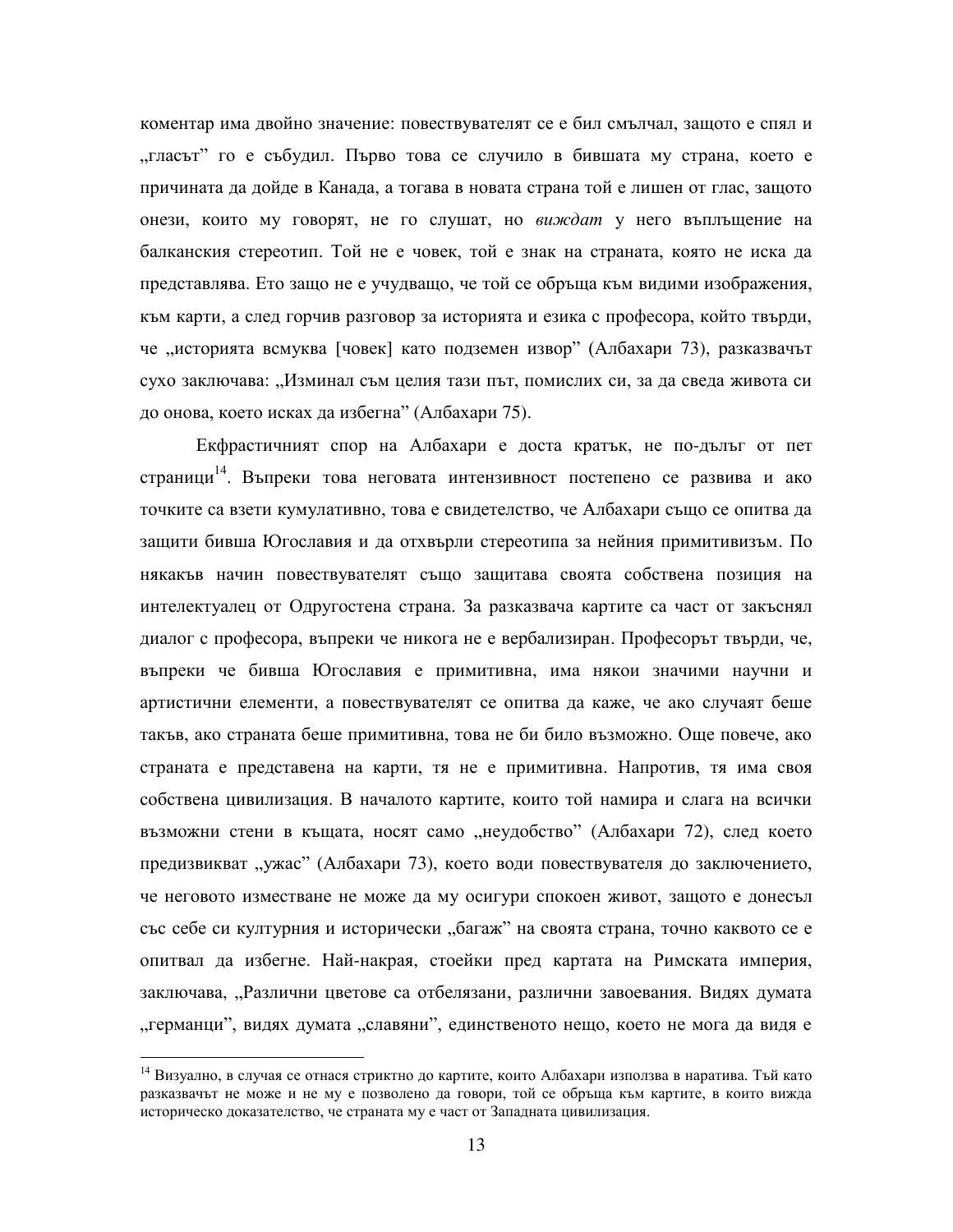коментар има двойно значение: повествувателят се е бил смълчал, защото е спял и "гласът" го е събудил. Първо това се случило в бившата му страна, което е причината да дойде в Канада, а тогава в новата страна той е лишен от глас, защото онези, които му говорят, не го слушат, но виждат у него въплъщение на балканския стереотип. Той не е човек, той е знак на страната, която не иска да представлява. Ето защо не е учудващо, че той се обръща към видими изображения, към карти, а след горчив разговор за историята и езика с професора, който твърди, че "историята всмуква [човек] като подземен извор" (Албахари 73), разказвачът сухо заключава: "Изминал съм целия тази път, помислих си, за да сведа живота си до онова, което исках да избегна" (Албахари 75).

Екфрастичният спор на Албахари е доста кратък, не по-дълъг от пет страници<sup>14</sup>. Въпреки това неговата интензивност постепено се развива и ако точките са взети кумулативно, това е свидетелство, че Албахари също се опитва да защити бивша Югославия и да отхвърли стереотипа за нейния примитивизъм. По някакъв начин повествувателят също защитава своята собствена позиция на интелектуалец от Одругостена страна. За разказвача картите са част от закъснял диалог с професора, въпреки че никога не е вербализиран. Професорът твърди, че, въпреки че бивша Югославия е примитивна, има някои значими научни и артистични елементи, а повествувателят се опитва да каже, че ако случаят беше такъв, ако страната беше примитивна, това не би било възможно. Още повече, ако страната е представена на карти, тя не е примитивна. Напротив, тя има своя собствена цивилизация. В началото картите, които той намира и слага на всички възможни стени в къщата, носят само "неудобство" (Албахари 72), след което предизвикват "ужас" (Албахари 73), което води повествувателя до заключението, че неговото изместване не може да му осигури спокоен живот, защото е донесъл със себе си културния и исторически "багаж" на своята страна, точно каквото се е опитвал да избегне. Най-накрая, стоейки пред картата на Римската империя, заключава, "Различни цветове са отбелязани, различни завоевания. Видях думата "германци", видях думата "славяни", единственото нещо, което не мога да видя е

<sup>&</sup>lt;sup>14</sup> Визуално, в случая се отнася стриктно до картите, които Албахари използва в наратива. Тъй като разказвачът не може и не му е позволено да говори, той се обръща към картите, в които вижда историческо доказателство, че страната му е част от Западната цивилизация.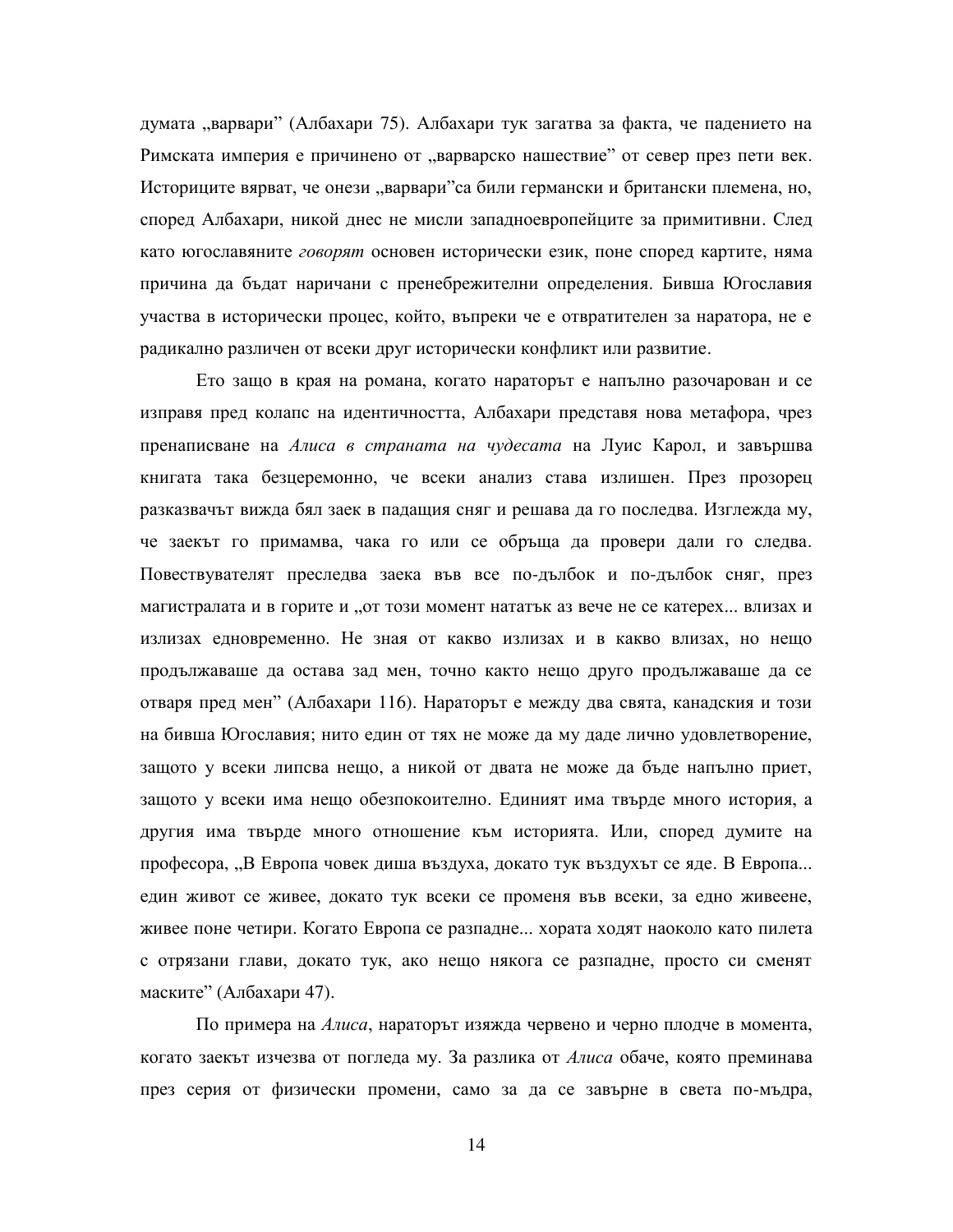думата "варвари" (Албахари 75). Албахари тук загатва за факта, че падението на Римската империя е причинено от "варварско нашествие" от север през пети век. Историците вярват, че онези "варвари"са били германски и британски племена, но, според Албахари, никой днес не мисли западноевропейците за примитивни. След като югославяните говорят основен исторически език, поне според картите, няма причина да бъдат наричани с пренебрежителни определения. Бивша Югославия участва в исторически процес, който, въпреки че е отвратителен за наратора, не е радикално различен от всеки друг исторически конфликт или развитие.

Ето защо в края на романа, когато нараторът е напълно разочарован и се изправя пред колапс на идентичността, Албахари представя нова метафора, чрез пренаписване на *Алиса в страната на чудесата* на Луис Карол, и завършва книгата така безцеремонно, че всеки анализ става излишен. През прозорец разказвачът вижда бял заек в падащия сняг и решава да го последва. Изглежда му, че заекът го примамва, чака го или се обръща да провери дали го следва. Повествувателят преследва заека във все по-дълбок и по-дълбок сняг, през магистралата и в горите и "от този момент нататък аз вече не се катерех... влизах и излизах едновременно. Не зная от какво излизах и в какво влизах, но нещо продължаваше да остава зад мен, точно както нещо друго продължаваше да се отваря пред мен" (Албахари 116). Нараторът е между два свята, канадския и този на бивша Югославия; нито един от тях не може да му даде лично удовлетворение, защото у всеки липсва нещо, а никой от двата не може да бъде напълно приет, защото у всеки има нещо обезпокоително. Единият има твърде много история, а другия има твърде много отношение към историята. Или, според думите на професора, "В Европа човек диша въздуха, докато тук въздухът се яде. В Европа... един живот се живее, докато тук всеки се променя във всеки, за едно живеене, живее поне четири. Когато Европа се разпадне... хората ходят наоколо като пилета с отрязани глави, докато тук, ако нещо някога се разпадне, просто си сменят маските" (Албахари 47).

По примера на *Алиса*, нараторът изяжда червено и черно плодче в момента, когато заекът изчезва от погледа му. За разлика от *Алиса* обаче, която преминава през серия от физически промени, само за да се завърне в света по-мъдра,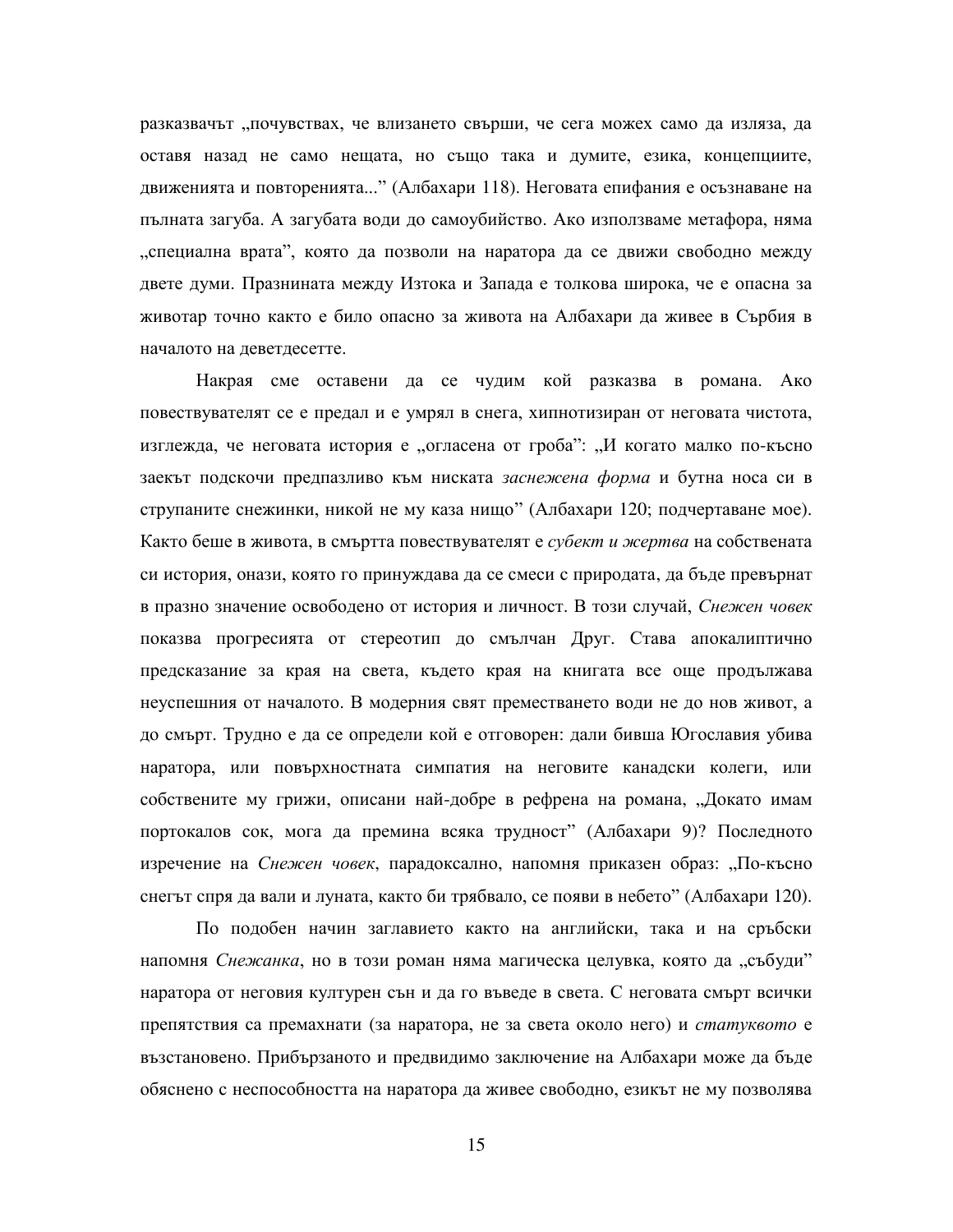разказвачът "почувствах, че влизането свърши, че сега можех само да изляза, да оставя назад не само нещата, но също така и думите, езика, концепциите, движенията и повторенията..." (Албахари 118). Неговата епифания е осъзнаване на пълната загуба. А загубата води до самоубийство. Ако използваме метафора, няма , специална врата", която да позволи на наратора да се движи свободно между двете думи. Празнината между Изтока и Запада е толкова широка, че е опасна за животар точно както е било опасно за живота на Албахари да живее в Сърбия в началото на деветдесетте.

Накрая сме оставени да се чудим кой разказва в романа. Ако повествувателят се е предал и е умрял в снега, хипнотизиран от неговата чистота, изглежда, че неговата история е "огласена от гроба": "И когато малко по-късно заекът подскочи предпазливо към ниската заснежена форма и бутна носа си в струпаните снежинки, никой не му каза нищо" (Албахари 120; подчертаване мое). Както беше в живота, в смъртта повествувателят е *субект и жертва* на собствената си история, онази, която го принуждава да се смеси с природата, да бъде превърнат в празно значение освободено от история и личност. В този случай, Снежен човек показва прогресията от стереотип до смълчан Друг. Става апокалиптично предсказание за края на света, където края на книгата все още продължава неуспешния от началото. В модерния свят преместването води не до нов живот, а до смърт. Трудно е да се определи кой е отговорен: дали бивша Югославия убива наратора, или повърхностната симпатия на неговите канадски колеги, или собствените му грижи, описани най-добре в рефрена на романа, "Докато имам портокалов сок, мога да премина всяка трудност" (Албахари 9)? Последното изречение на *Снежен човек*, парадоксално, напомня приказен образ: "По-късно снегът спря да вали и луната, както би трябвало, се появи в небето" (Албахари 120).

По подобен начин заглавието както на английски, така и на сръбски напомня *Снежанка*, но в този роман няма магическа целувка, която да "събуди" наратора от неговия културен сън и да го въведе в света. С неговата смърт всички препятствия са премахнати (за наратора, не за света около него) и *статуквото* е възстановено. Прибързаното и предвидимо заключение на Албахари може да бъде обяснено с неспособността на наратора да живее свободно, езикът не му позволява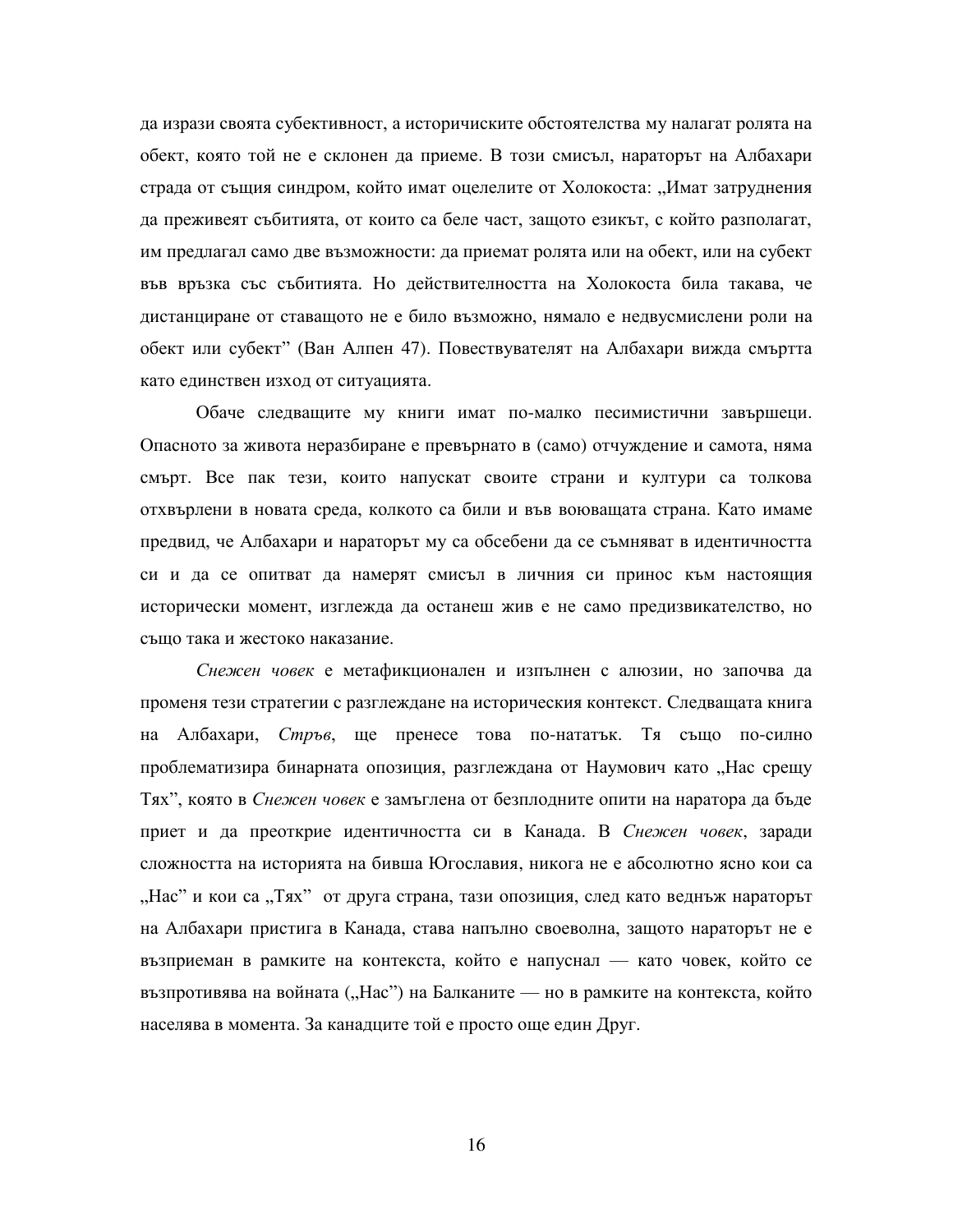да изрази своята субективност, а историчиските обстоятелства му налагат ролята на обект, която той не е склонен да приеме. В този смисъл, нараторът на Албахари страда от същия синдром, който имат оцелелите от Холокоста: "Имат затруднения да преживеят събитията, от които са беле част, защото езикът, с който разполагат, им предлагал само две възможности: да приемат ролята или на обект, или на субект във връзка със събитията. Но действителността на Холокоста била такава, че дистанциране от ставащото не е било възможно, нямало е недвусмислени роли на обект или субект" (Ван Алпен 47). Повествувателят на Албахари вижда смъртта като единствен изход от ситуацията.

Обаче следващите му книги имат по-малко песимистични завършеци. Опасното за живота неразбиране е превърнато в (само) отчуждение и самота, няма смърт. Все пак тези, които напускат своите страни и култури са толкова отхвърлени в новата среда, колкото са били и във воюващата страна. Като имаме предвид, че Албахари и нараторът му са обсебени да се съмняват в идентичността си и да се опитват да намерят смисъл в личния си принос към настоящия исторически момент, изглежда да останеш жив е не само предизвикателство, но също така и жестоко наказание.

Снежен човек е метафикционален и изпълнен с алюзии, но започва да променя тези стратегии с разглеждане на историческия контекст. Следващата книга на Албахари, Стръв, ще пренесе това по-нататък. Тя също по-силно проблематизира бинарната опозиция, разглеждана от Наумович като "Нас срещу Тях", която в *Снежен човек* е замъглена от безплодните опити на наратора да бъде приет и да преоткрие идентичността си в Канада. В Снежен човек, заради сложността на историята на бивша Югославия, никога не е абсолютно ясно кои са "Нас" и кои са "Тях" от друга страна, тази опозиция, след като веднъж нараторът на Албахари пристига в Канада, става напълно своеволна, защото нараторът не е възприеман в рамките на контекста, който е напуснал — като човек, който се възпротивява на войната ("Нас") на Балканите — но в рамките на контекста, който населява в момента. За канадците той е просто още един Друг.